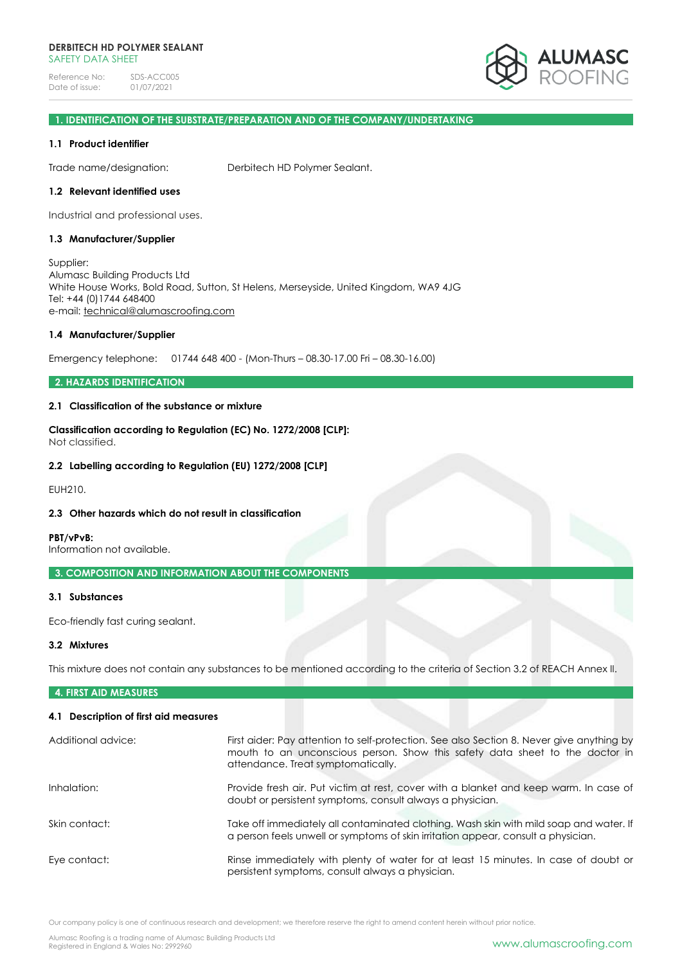

# **1. IDENTIFICATION OF THE SUBSTRATE/PREPARATION AND OF THE COMPANY/UNDERTAKING**

### **1.1 Product identifier**

Trade name/designation: Derbitech HD Polymer Sealant.

### **1.2 Relevant identified uses**

Industrial and professional uses.

# **1.3 Manufacturer/Supplier**

Supplier: Alumasc Building Products Ltd White House Works, Bold Road, Sutton, St Helens, Merseyside, United Kingdom, WA9 4JG Tel: +44 (0)1744 648400 e-mail: [technical@alumascroofing.com](mailto:technical@alumascroofing.com)

### **1.4 Manufacturer/Supplier**

Emergency telephone: 01744 648 400 - (Mon-Thurs – 08.30-17.00 Fri – 08.30-16.00)

# **2. HAZARDS IDENTIFICATION**

# **2.1 Classification of the substance or mixture**

**Classification according to Regulation (EC) No. 1272/2008 [CLP]:** Not classified.

### **2.2 Labelling according to Regulation (EU) 1272/2008 [CLP]**

EUH210.

# **2.3 Other hazards which do not result in classification**

**PBT/vPvB:**

Information not available.

# **3. COMPOSITION AND INFORMATION ABOUT THE COMPONENTS**

### **3.1 Substances**

Eco-friendly fast curing sealant.

# **3.2 Mixtures**

This mixture does not contain any substances to be mentioned according to the criteria of Section 3.2 of REACH Annex II.

# **4. FIRST AID MEASURES**

# **4.1 Description of first aid measures**

| Additional advice: | First aider: Pay attention to self-protection. See also Section 8. Never give anything by<br>mouth to an unconscious person. Show this safety data sheet to the doctor in   |
|--------------------|-----------------------------------------------------------------------------------------------------------------------------------------------------------------------------|
|                    | attendance. Treat symptomatically.                                                                                                                                          |
| Inhalation:        | Provide fresh air. Put victim at rest, cover with a blanket and keep warm. In case of<br>doubt or persistent symptoms, consult always a physician.                          |
| Skin contact:      | Take off immediately all contaminated clothing. Wash skin with mild soap and water. If<br>a person feels unwell or symptoms of skin irritation appear, consult a physician. |
| Eye contact:       | Rinse immediately with plenty of water for at least 15 minutes. In case of doubt or<br>persistent symptoms, consult always a physician.                                     |

Our company policy is one of continuous research and development; we therefore reserve the right to amend content herein without prior notice.

Alumasc Roofing is a trading name of Alumasc Building Products Ltd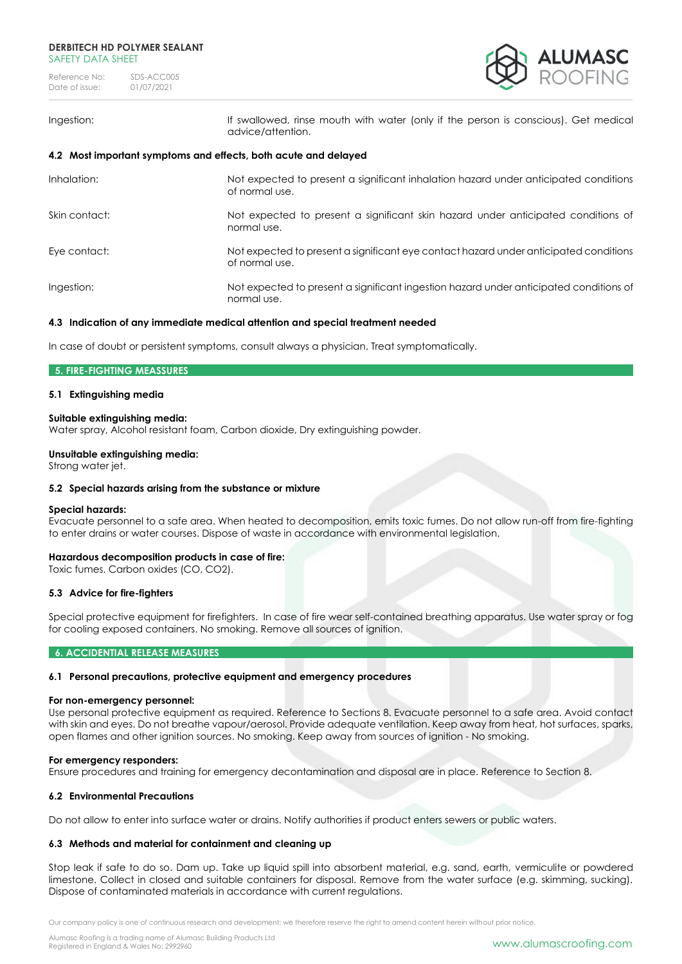

Ingestion: If swallowed, rinse mouth with water (only if the person is conscious). Get medical advice/attention.

# **4.2 Most important symptoms and effects, both acute and delayed**

| Inhalation:   | Not expected to present a significant inhalation hazard under anticipated conditions<br>of normal use.  |
|---------------|---------------------------------------------------------------------------------------------------------|
| Skin contact: | Not expected to present a significant skin hazard under anticipated conditions of<br>normal use.        |
| Eye contact:  | Not expected to present a significant eye contact hazard under anticipated conditions<br>of normal use. |
| Ingestion:    | Not expected to present a significant ingestion hazard under anticipated conditions of<br>normal use.   |

# **4.3 Indication of any immediate medical attention and special treatment needed**

In case of doubt or persistent symptoms, consult always a physician. Treat symptomatically.

# **5. FIRE-FIGHTING MEASSURES**

# **5.1 Extinguishing media**

### **Suitable extinguishing media:**

Water spray, Alcohol resistant foam, Carbon dioxide, Dry extinguishing powder.

### **Unsuitable extinguishing media:**

Strong water jet.

# **5.2 Special hazards arising from the substance or mixture**

### **Special hazards:**

Evacuate personnel to a safe area. When heated to decomposition, emits toxic fumes. Do not allow run-off from fire-fighting to enter drains or water courses. Dispose of waste in accordance with environmental legislation.

# **Hazardous decomposition products in case of fire:**

Toxic fumes. Carbon oxides (CO, CO2).

# **5.3 Advice for fire-fighters**

Special protective equipment for firefighters. In case of fire wear self-contained breathing apparatus. Use water spray or fog for cooling exposed containers. No smoking. Remove all sources of ignition.

### **6. ACCIDENTIAL RELEASE MEASURES**

# **6.1 Personal precautions, protective equipment and emergency procedures**

### **For non-emergency personnel:**

Use personal protective equipment as required. Reference to Sections 8. Evacuate personnel to a safe area. Avoid contact with skin and eyes. Do not breathe vapour/aerosol. Provide adequate ventilation. Keep away from heat, hot surfaces, sparks, open flames and other ignition sources. No smoking. Keep away from sources of ignition - No smoking.

### **For emergency responders:**

Ensure procedures and training for emergency decontamination and disposal are in place. Reference to Section 8.

# **6.2 Environmental Precautions**

Do not allow to enter into surface water or drains. Notify authorities if product enters sewers or public waters.

# **6.3 Methods and material for containment and cleaning up**

Stop leak if safe to do so. Dam up. Take up liquid spill into absorbent material, e.g. sand, earth, vermiculite or powdered limestone. Collect in closed and suitable containers for disposal. Remove from the water surface (e.g. skimming, sucking). Dispose of contaminated materials in accordance with current regulations.

Our company policy is one of continuous research and development; we therefore reserve the right to amend content herein without prior notice.

Alumasc Roofing is a trading name of Alumasc Building Products Ltd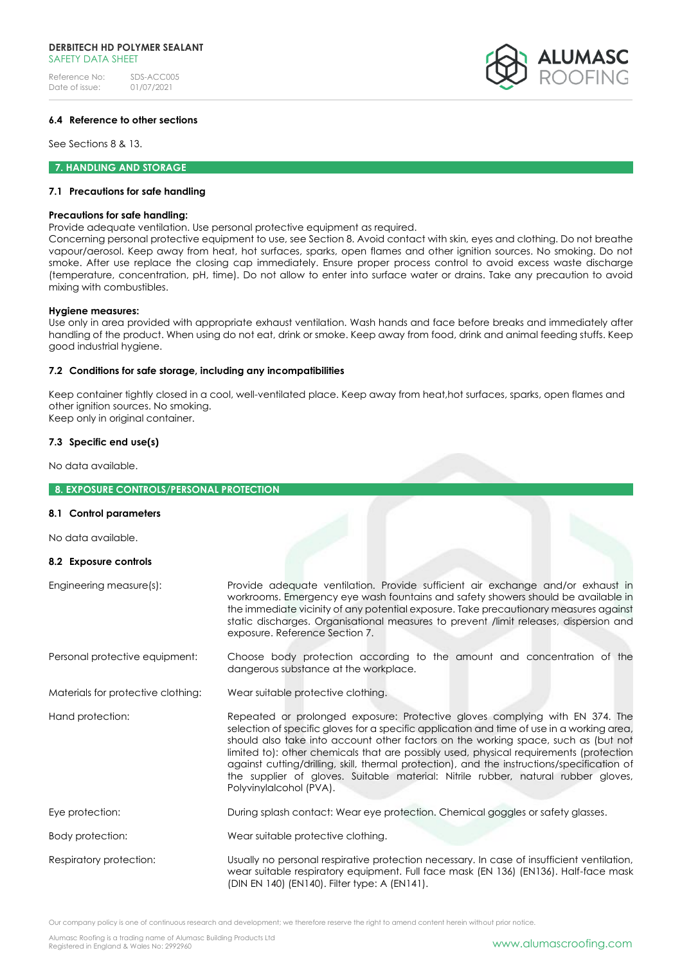# **DERBITECH HD POLYMER SEALANT** SAFFTY DATA SHFFT

Reference No: SDS-ACC005<br>Date of issue: 01/07/2021 Date of issue:



# **6.4 Reference to other sections**

See Sections 8 & 13.

**7. HANDLING AND STORAGE** 

### **7.1 Precautions for safe handling**

### **Precautions for safe handling:**

Provide adequate ventilation. Use personal protective equipment as required.

Concerning personal protective equipment to use, see Section 8. Avoid contact with skin, eyes and clothing. Do not breathe vapour/aerosol. Keep away from heat, hot surfaces, sparks, open flames and other ignition sources. No smoking. Do not smoke. After use replace the closing cap immediately. Ensure proper process control to avoid excess waste discharge (temperature, concentration, pH, time). Do not allow to enter into surface water or drains. Take any precaution to avoid mixing with combustibles.

### **Hygiene measures:**

Use only in area provided with appropriate exhaust ventilation. Wash hands and face before breaks and immediately after handling of the product. When using do not eat, drink or smoke. Keep away from food, drink and animal feeding stuffs. Keep good industrial hygiene.

# **7.2 Conditions for safe storage, including any incompatibilities**

Keep container tightly closed in a cool, well-ventilated place. Keep away from heat,hot surfaces, sparks, open flames and other ignition sources. No smoking. Keep only in original container.

# **7.3 Specific end use(s)**

No data available.

# **8. EXPOSURE CONTROLS/PERSONAL PROTECTION**

### **8.1 Control parameters**

No data available.

# **8.2 Exposure controls**

| Engineering measure(s):            | Provide adequate ventilation. Provide sufficient air exchange and/or exhaust in<br>workrooms. Emergency eye wash fountains and safety showers should be available in<br>the immediate vicinity of any potential exposure. Take precautionary measures against<br>static discharges. Organisational measures to prevent /limit releases, dispersion and<br>exposure. Reference Section 7.                                                                                                                                                                                  |
|------------------------------------|---------------------------------------------------------------------------------------------------------------------------------------------------------------------------------------------------------------------------------------------------------------------------------------------------------------------------------------------------------------------------------------------------------------------------------------------------------------------------------------------------------------------------------------------------------------------------|
| Personal protective equipment:     | Choose body protection according to the amount and concentration of the<br>dangerous substance at the workplace.                                                                                                                                                                                                                                                                                                                                                                                                                                                          |
| Materials for protective clothing: | Wear suitable protective clothing.                                                                                                                                                                                                                                                                                                                                                                                                                                                                                                                                        |
| Hand protection:                   | Repeated or prolonged exposure: Protective gloves complying with EN 374. The<br>selection of specific gloves for a specific application and time of use in a working area,<br>should also take into account other factors on the working space, such as (but not<br>limited to): other chemicals that are possibly used, physical requirements (protection<br>against cutting/drilling, skill, thermal protection), and the instructions/specification of<br>the supplier of gloves. Suitable material: Nitrile rubber, natural rubber gloves,<br>Polyvinylalcohol (PVA). |
| Eye protection:                    | During splash contact: Wear eye protection. Chemical goggles or safety glasses.                                                                                                                                                                                                                                                                                                                                                                                                                                                                                           |
| Body protection:                   | Wear suitable protective clothing.                                                                                                                                                                                                                                                                                                                                                                                                                                                                                                                                        |
| Respiratory protection:            | Usually no personal respirative protection necessary. In case of insufficient ventilation,<br>wear suitable respiratory equipment. Full face mask (EN 136) (EN136). Half-face mask<br>(DIN EN 140) (EN140). Filter type: A (EN141).                                                                                                                                                                                                                                                                                                                                       |

Our company policy is one of continuous research and development; we therefore reserve the right to amend content herein without prior notice.

Alumasc Roofing is a trading name of Alumasc Building Products Ltd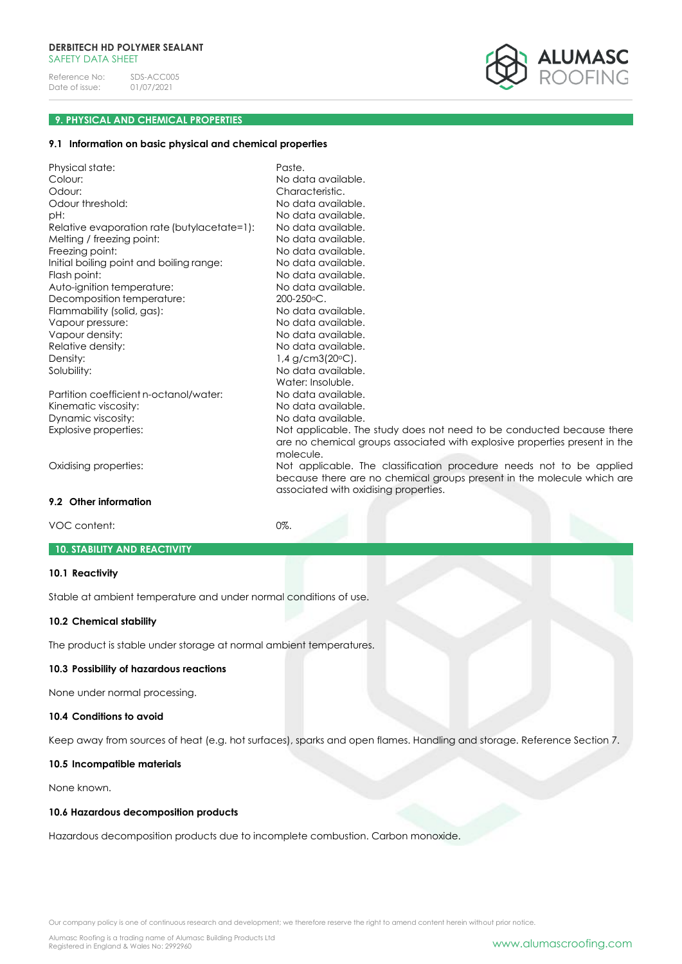

# **9. PHYSICAL AND CHEMICAL PROPERTIES**

# **9.1 Information on basic physical and chemical properties**

| Physical state:<br>Colour:<br>Odour:<br>Odour threshold:<br>pH:<br>Relative evaporation rate (butylacetate=1):<br>Melting / freezing point:<br>Freezing point:<br>Initial boiling point and boiling range:<br>Flash point:<br>Auto-ignition temperature:<br>Decomposition temperature:<br>Flammability (solid, gas):<br>Vapour pressure:<br>Vapour density:<br>Relative density:<br>Density:<br>Solubility: | Paste.<br>No data available.<br>Characteristic.<br>No data available.<br>No data available.<br>No data available.<br>No data available.<br>No data available.<br>No data available.<br>No data available.<br>No data available.<br>$200 - 250$ °C.<br>No data available.<br>No data available.<br>No data available.<br>No data available.<br>$1,4$ g/cm3(20 $\circ$ C).<br>No data available.<br>Water: Insoluble. |
|-------------------------------------------------------------------------------------------------------------------------------------------------------------------------------------------------------------------------------------------------------------------------------------------------------------------------------------------------------------------------------------------------------------|---------------------------------------------------------------------------------------------------------------------------------------------------------------------------------------------------------------------------------------------------------------------------------------------------------------------------------------------------------------------------------------------------------------------|
| Partition coefficient n-octanol/water:<br>Kinematic viscosity:<br>Dynamic viscosity:<br>Explosive properties:                                                                                                                                                                                                                                                                                               | No data available.<br>No data available.<br>No data available.<br>Not applicable. The study does not need to be conducted because there                                                                                                                                                                                                                                                                             |
| Oxidising properties:                                                                                                                                                                                                                                                                                                                                                                                       | are no chemical groups associated with explosive properties present in the<br>molecule.<br>Not applicable. The classification procedure needs not to be applied<br>because there are no chemical groups present in the molecule which are<br>associated with oxidising properties.                                                                                                                                  |
| 9.2 Other information                                                                                                                                                                                                                                                                                                                                                                                       |                                                                                                                                                                                                                                                                                                                                                                                                                     |
| VOC content:                                                                                                                                                                                                                                                                                                                                                                                                | $0\%$ .                                                                                                                                                                                                                                                                                                                                                                                                             |

#### **10. STABILITY AND REACTIVITY**

### **10.1 Reactivity**

Stable at ambient temperature and under normal conditions of use.

# **10.2 Chemical stability**

The product is stable under storage at normal ambient temperatures.

# **10.3 Possibility of hazardous reactions**

None under normal processing.

# **10.4 Conditions to avoid**

Keep away from sources of heat (e.g. hot surfaces), sparks and open flames. Handling and storage. Reference Section 7.

### **10.5 Incompatible materials**

None known.

# **10.6 Hazardous decomposition products**

Hazardous decomposition products due to incomplete combustion. Carbon monoxide.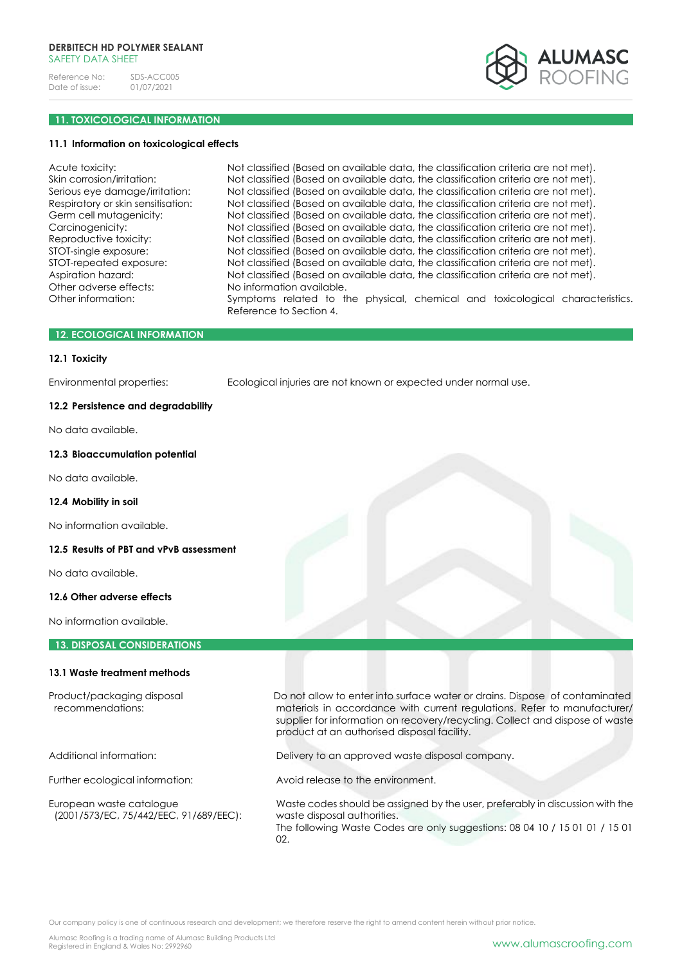

# **11. TOXICOLOGICAL INFORMATION**

### **11.1 Information on toxicological effects**

| Acute toxicity:                    | Not classified (Based on available data, the classification criteria are not met). |
|------------------------------------|------------------------------------------------------------------------------------|
| Skin corrosion/irritation:         | Not classified (Based on available data, the classification criteria are not met). |
| Serious eye damage/irritation:     | Not classified (Based on available data, the classification criteria are not met). |
| Respiratory or skin sensitisation: | Not classified (Based on available data, the classification criteria are not met). |
| Germ cell mutagenicity:            | Not classified (Based on available data, the classification criteria are not met). |
| Carcinogenicity:                   | Not classified (Based on available data, the classification criteria are not met). |
| Reproductive toxicity:             | Not classified (Based on available data, the classification criteria are not met). |
| STOT-single exposure:              | Not classified (Based on available data, the classification criteria are not met). |
| STOT-repeated exposure:            | Not classified (Based on available data, the classification criteria are not met). |
| Aspiration hazard:                 | Not classified (Based on available data, the classification criteria are not met). |
| Other adverse effects:             | No information available.                                                          |
| Other information:                 | Symptoms related to the physical, chemical and toxicological characteristics.      |
|                                    | Reference to Section 4.                                                            |

### **12. ECOLOGICAL INFORMATION**

### **12.1 Toxicity**

Environmental properties: Ecological injuries are not known or expected under normal use.

# **12.2 Persistence and degradability**

No data available.

### **12.3 Bioaccumulation potential**

No data available.

# **12.4 Mobility in soil**

No information available.

### **12.5 Results of PBT and vPvB assessment**

No data available.

### **12.6 Other adverse effects**

No information available.

**13. DISPOSAL CONSIDERATIONS**

# **13.1 Waste treatment methods**

(2001/573/EC, 75/442/EEC, 91/689/EEC): waste disposal authorities.

Product/packaging disposal Do not allow to enter into surface water or drains. Dispose of contaminated materials in accordance with current regulations. Refer to manufacturer/ supplier for information on recovery/recycling. Collect and dispose of waste product at an authorised disposal facility.

Additional information: Delivery to an approved waste disposal company.

Further ecological information: Avoid release to the environment.

European waste catalogue Waste codes should be assigned by the user, preferably in discussion with the The following Waste Codes are only suggestions: 08 04 10 / 15 01 01 / 15 01 02.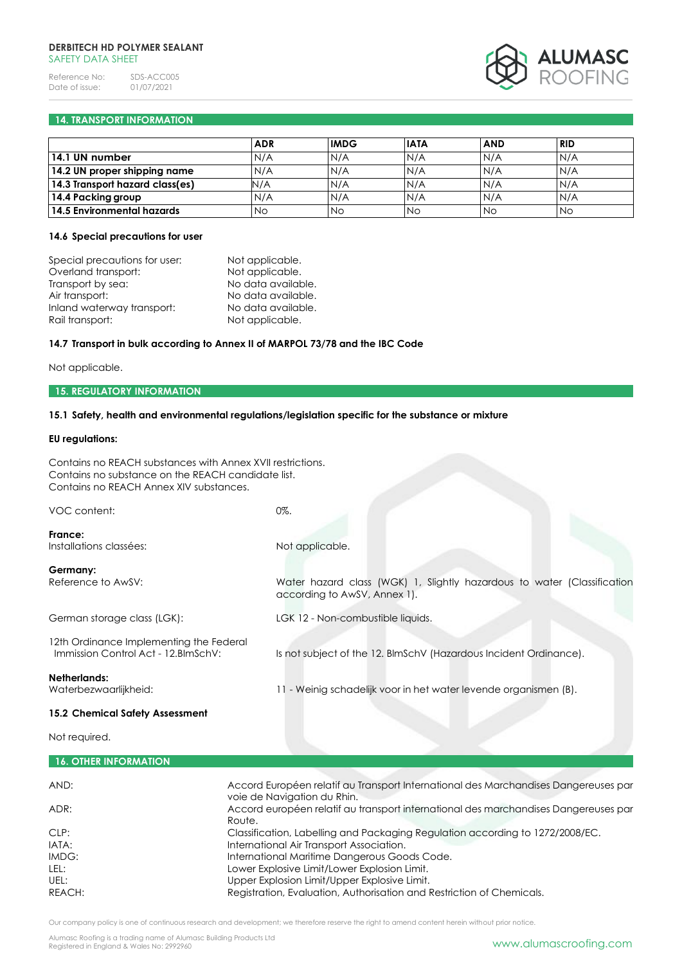### **DERBITECH HD POLYMER SEALANT** SAFFTY DATA SHFFT

Reference No: SDS-ACC005<br>Date of issue: 01/07/2021 Date of issue:



# **14. TRANSPORT INFORMATION**

|                                 | <b>ADR</b> | <b>IMDG</b> | <b>IATA</b> | <b>AND</b> | <b>RID</b> |  |
|---------------------------------|------------|-------------|-------------|------------|------------|--|
| 14.1 UN number                  | N/A        | N/A         | N/A         | N/A        | N/A        |  |
| 14.2 UN proper shipping name    | N/A        | N/A         | N/A         | N/A        | N/A        |  |
| 14.3 Transport hazard class(es) | N/A        | N/A         | N/A         | N/A        | IN/A       |  |
| 14.4 Packing group              | N/A        | N/A         | N/A         | N/A        | IN/A       |  |
| 14.5 Environmental hazards      | No         | <b>No</b>   | <b>No</b>   | <b>No</b>  | <b>No</b>  |  |

### **14.6 Special precautions for user**

| Special precautions for user: | Not applicable.    |
|-------------------------------|--------------------|
| Overland transport:           | Not applicable.    |
| Transport by sea:             | No data available. |
| Air transport:                | No data available. |
| Inland waterway transport:    | No data available. |
| Rail transport:               | Not applicable.    |

# **14.7 Transport in bulk according to Annex II of MARPOL 73/78 and the IBC Code**

Not applicable.

#### **15. REGULATORY INFORMATION**

### **15.1 Safety, health and environmental regulations/legislation specific for the substance or mixture**

### **EU regulations:**

| Contains no REACH substances with Annex XVII restrictions.<br>Contains no substance on the REACH candidate list.<br>Contains no REACH Annex XIV substances. |                                                                                                                    |
|-------------------------------------------------------------------------------------------------------------------------------------------------------------|--------------------------------------------------------------------------------------------------------------------|
| VOC content:                                                                                                                                                | 0%.                                                                                                                |
| France:<br>Installations classées:                                                                                                                          | Not applicable.                                                                                                    |
| Germany:<br>Reference to AwSV:                                                                                                                              | Water hazard class (WGK) 1, Slightly hazardous to water (Classification<br>according to AwSV, Annex 1).            |
| German storage class (LGK):                                                                                                                                 | LGK 12 - Non-combustible liquids.                                                                                  |
| 12th Ordinance Implementing the Federal<br>Immission Control Act - 12. BlmSchV:                                                                             | Is not subject of the 12. BImSchV (Hazardous Incident Ordinance).                                                  |
| Netherlands:<br>Waterbezwaarlijkheid:                                                                                                                       | 11 - Weinig schadelijk voor in het water levende organismen (B).                                                   |
| 15.2 Chemical Safety Assessment                                                                                                                             |                                                                                                                    |
| Not required.                                                                                                                                               |                                                                                                                    |
| <b>16. OTHER INFORMATION</b>                                                                                                                                |                                                                                                                    |
| AND:                                                                                                                                                        | Accord Européen relatif au Transport International des Marchandises Dangereuses par                                |
| ADR:                                                                                                                                                        | voie de Navigation du Rhin.<br>Accord européen relatif au transport international des marchandises Dangereuses par |

Our company policy is one of continuous research and development; we therefore reserve the right to amend content herein without prior notice.

REACH: REACH: Registration, Evaluation, Authorisation and Restriction of Chemicals.

CLP: Classification, Labelling and Packaging Regulation according to 1272/2008/EC.

Route.

IMDG: International Maritime Dangerous Goods Code. LEL: LEL: Lower Explosive Limit/Lower Explosion Limit. UEL:<br>
Upper Explosion Limit/Upper Explosive Limit.

IATA: International Air Transport Association.